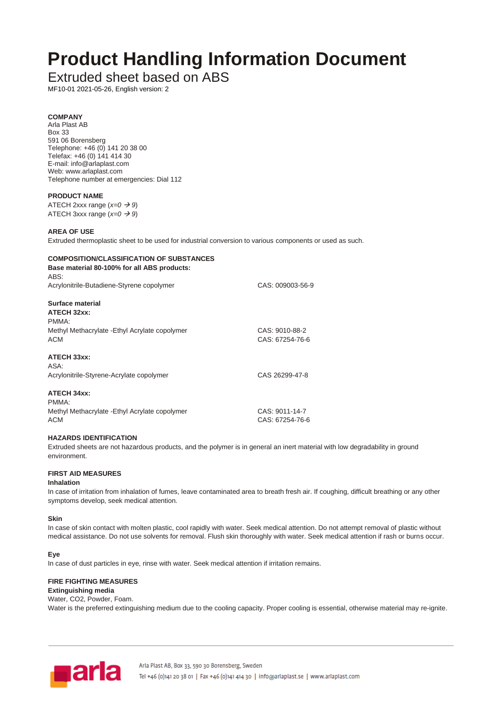# **Product Handling Information Document**

## Extruded sheet based on ABS

MF10-01 2021-05-26, English version: 2

#### **COMPANY** Arla Plast AB Box 33 591 06 Borensberg Telephone: +46 (0) 141 20 38 00 Telefax: +46 (0) 141 414 30 E-mail: info@arlaplast.com Web: www.arlaplast.com Telephone number at emergencies: Dial 112

## **PRODUCT NAME**

ATECH 2xxx range (*x=0* → *9*) ATECH 3xxx range  $(x=0 \rightarrow 9)$ 

#### **AREA OF USE**

Extruded thermoplastic sheet to be used for industrial conversion to various components or used as such.

## **COMPOSITION/CLASSIFICATION OF SUBSTANCES Base material 80-100% for all ABS products:** ABS: Acrylonitrile-Butadiene-Styrene copolymer CAS: 009003-56-9 **Surface material ATECH 32xx:** PMMA: Methyl Methacrylate -Ethyl Acrylate copolymer CAS: 9010-88-2 ACM CAS: 67254-76-6 **ATECH 33xx:**

| ASA:                                     |                |
|------------------------------------------|----------------|
| Acrylonitrile-Styrene-Acrylate copolymer | CAS 26299-47-8 |

## **ATECH 34xx:**

| PMMA:                                          |                 |
|------------------------------------------------|-----------------|
| Methyl Methacrylate - Ethyl Acrylate copolymer | CAS: 9011-14-7  |
| ACM                                            | CAS: 67254-76-6 |

## **HAZARDS IDENTIFICATION**

Extruded sheets are not hazardous products, and the polymer is in general an inert material with low degradability in ground environment.

## **FIRST AID MEASURES**

#### **Inhalation**

In case of irritation from inhalation of fumes, leave contaminated area to breath fresh air. If coughing, difficult breathing or any other symptoms develop, seek medical attention.

#### **Skin**

In case of skin contact with molten plastic, cool rapidly with water. Seek medical attention. Do not attempt removal of plastic without medical assistance. Do not use solvents for removal. Flush skin thoroughly with water. Seek medical attention if rash or burns occur.

#### **Eye**

In case of dust particles in eye, rinse with water. Seek medical attention if irritation remains.

## **FIRE FIGHTING MEASURES**

#### **Extinguishing media** Water, CO2, Powder, Foam.

Water is the preferred extinguishing medium due to the cooling capacity. Proper cooling is essential, otherwise material may re-ignite.